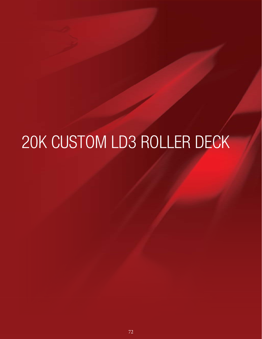# 20K CUSTOM LD3 ROLLER DECK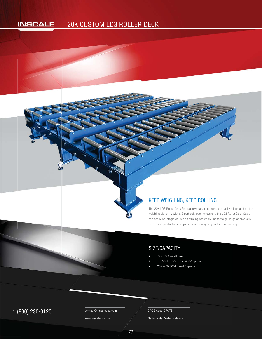#### **INSCALE**

## 20K CUSTOM LD3 ROLLER DECK E



The 20K LD3 Roller Deck Scale allows cargo containers to easily roll on and off the weighing platform. With a 2 part bolt together system, the LD3 Roller Deck Scale S w can easily be integrated into an existing assembly line to weigh cargo or products to increase productivity, so you can keep weighing and keep on rolling. to **KEEP WEIGHING, KEEP ROLLING**<br>The 20K LD3 Roller Deck Scale allows cargo containers to expering platform. With a 2 part bolt together system, the LC<br>can easily be integrated into an existing assembly line to wei<br>to increas

### SIZE/CAPACITY

- 10' x 10' Overall Size
- 118.5"x118.5"x 27"x2400# approx.
- 20K 20,000lb Load Capacity

1 (800) 230-0120 Contact@inscaleusa.com CAGE Code 07GT5

contact@inscaleusa.com

www.inscaleusa.com

Nationwide Dealer Network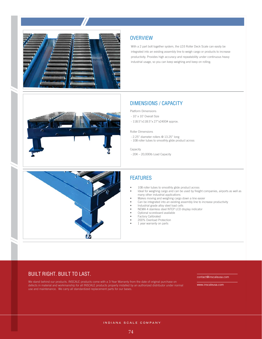





#### **OVERVIEW**

With a 2 part bolt together system, the LD3 Roller Deck Scale can easily be integrated into an existing assembly line to weigh cargo or products to increase productivity. Provides high accuracy and repeatability under continuous heavy industrial usage, so you can keep weighing and keep on rolling.

#### DIMENSIONS / CAPACITY

Platform Dimensions

- 10' x 10' Overall Size
- 118.5"x118.5"x 27"x2400# approx.

Roller Dimensions

- 2.25" diameter rollers @ 13.25" long
- 108 roller tubes to smoothly glide product across

Capacity

- 20K – 20,000lb Load Capacity

#### FEATURES

- 108 roller tubes to smoothly glide product across
- Ideal for weighing cargo and can be used by freight companies, airports as well as many other industrial applications
- Makes moving and weighing cargo down a line easier
- Can be integrated into an existing assembly line to increase productivity
- Industrial grade alloy steel load cells
- NEMA 4 stainless steel NTEP LCD display indicator
- Optional scoreboard available
- Factory Calibrated
- 200% Overload Protection
- 1 year warranty on parts

#### BUILT RIGHT. BUILT TO LAST.

We stand behind our products. INSCALE products come with a 3-Year Warranty from the date of original purchase on defects in material and workmanship for all INSCALE products properly installed by an authorized distributor under normal use and maintenance. We carry all standardized replacement parts for our bases.

contact@inscaleusa.com

www.inscaleusa.com

INDIANA SCALE COMPANY

74